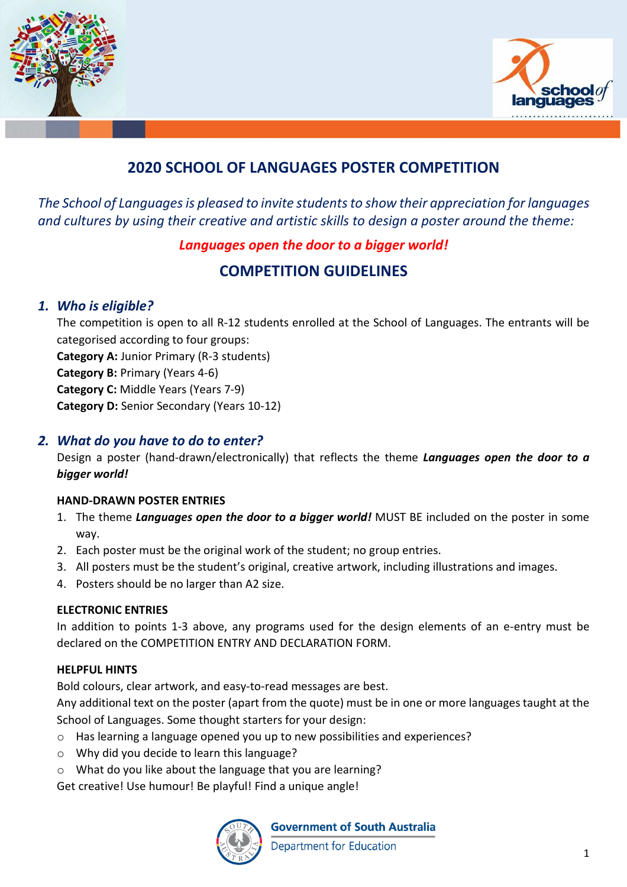



# **2020 SCHOOL OF LANGUAGES POSTER COMPETITION**

*The School of Languages is pleased to invite students to show their appreciation for languages and cultures by using their creative and artistic skills to design a poster around the theme:* 

## *Languages open the door to a bigger world!*

## **COMPETITION GUIDELINES**

## *1. Who is eligible?*

The competition is open to all R-12 students enrolled at the School of Languages. The entrants will be categorised according to four groups: **Category A:** Junior Primary (R-3 students) **Category B:** Primary (Years 4-6) **Category C:** Middle Years (Years 7-9) **Category D:** Senior Secondary (Years 10-12)

## *2. What do you have to do to enter?*

Design a poster (hand-drawn/electronically) that reflects the theme *Languages open the door to a bigger world!*

### **HAND-DRAWN POSTER ENTRIES**

- 1. The theme *Languages open the door to a bigger world!* MUST BE included on the poster in some way.
- 2. Each poster must be the original work of the student; no group entries.
- 3. All posters must be the student's original, creative artwork, including illustrations and images.
- 4. Posters should be no larger than A2 size.

### **ELECTRONIC ENTRIES**

In addition to points 1-3 above, any programs used for the design elements of an e-entry must be declared on the COMPETITION ENTRY AND DECLARATION FORM.

#### **HELPFUL HINTS**

Bold colours, clear artwork, and easy-to-read messages are best.

Any additional text on the poster (apart from the quote) must be in one or more languages taught at the School of Languages. Some thought starters for your design:

- o Has learning a language opened you up to new possibilities and experiences?
- o Why did you decide to learn this language?
- o What do you like about the language that you are learning?

Get creative! Use humour! Be playful! Find a unique angle!



**Government of South Australia** 

**Department for Education**